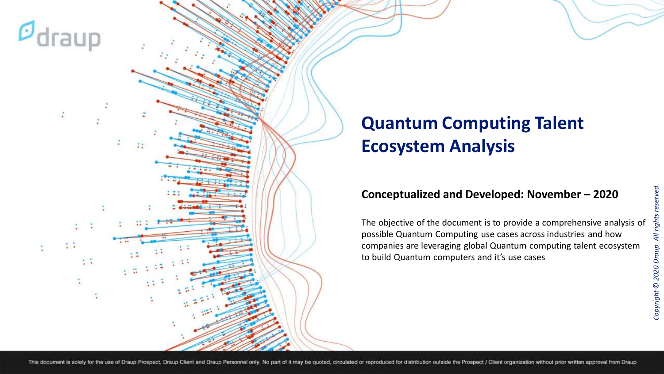

## **Quantum Computing Talent Ecosystem Analysis**

#### **Conceptualized and Developed: November – 2020**

The objective of the document is to provide a comprehensive analysis of possible Quantum Computing use cases across industries and how companies are leveraging global Quantum computing talent ecosystem to build Quantum computers and it's use cases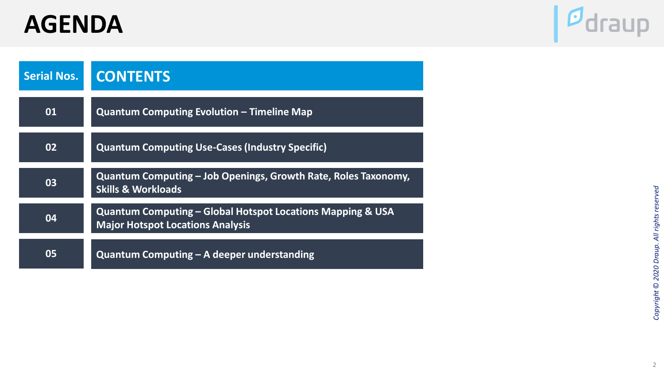# **AGENDA**



| <b>Serial Nos.</b> | <b>CONTENTS</b>                                                                                       |
|--------------------|-------------------------------------------------------------------------------------------------------|
| 01                 | <b>Quantum Computing Evolution – Timeline Map</b>                                                     |
| 02                 | <b>Quantum Computing Use-Cases (Industry Specific)</b>                                                |
| 03                 | Quantum Computing – Job Openings, Growth Rate, Roles Taxonomy,<br><b>Skills &amp; Workloads</b>       |
| 04                 | Quantum Computing – Global Hotspot Locations Mapping & USA<br><b>Major Hotspot Locations Analysis</b> |
| 05                 | Quantum Computing $-$ A deeper understanding                                                          |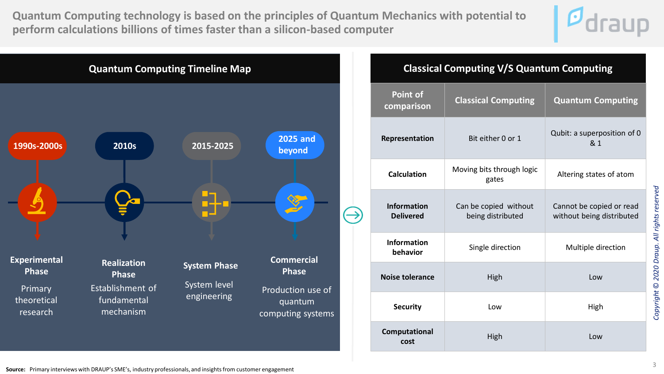**Quantum Computing technology is based on the principles of Quantum Mechanics with potential to perform calculations billions of times faster than a silicon-based computer**





### **Classical Computing V/S Quantum Computing Point of comparison Classical Computing Quantum Computing Representation** Bit either 0 or 1 Qubit: a superposition of 0 & 1 **Calculation** Moving bits through logic gates Altering states of atom **Information Delivered** Can be copied without being distributed Cannot be copied or read without being distributed **Information behavior** Single direction Multiple direction **Noise tolerance High Low Security Low High Computational cost** High **Low**

**Source:** Primary interviews with DRAUP's SME's, industry professionals, and insights from customer engagement

*Copyright* © *2020 Draup. All rights reserved*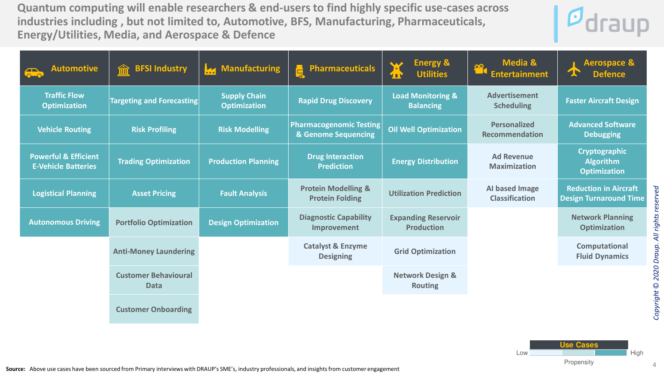**Quantum computing will enable researchers & end-users to find highly specific use-cases across industries including , but not limited to, Automotive, BFS, Manufacturing, Pharmaceuticals, Energy/Utilities, Media, and Aerospace & Defence**



| <b>Automotive</b>                                             | <b>BFSI Industry</b>                       | Manufacturing                              | <b>Pharmaceuticals</b><br>Ē                              | <b>Energy &amp;</b><br><b>Utilities</b><br>T     | <b>Media &amp;</b><br>$\frac{\circ}{\cdot}$<br><b>Entertainment</b> | <b>Aerospace &amp;</b><br><b>Defence</b>                      |
|---------------------------------------------------------------|--------------------------------------------|--------------------------------------------|----------------------------------------------------------|--------------------------------------------------|---------------------------------------------------------------------|---------------------------------------------------------------|
| <b>Traffic Flow</b><br><b>Optimization</b>                    | <b>Targeting and Forecasting</b>           | <b>Supply Chain</b><br><b>Optimization</b> | <b>Rapid Drug Discovery</b>                              | <b>Load Monitoring &amp;</b><br><b>Balancing</b> | <b>Advertisement</b><br><b>Scheduling</b>                           | <b>Faster Aircraft Design</b>                                 |
| <b>Vehicle Routing</b>                                        | <b>Risk Profiling</b>                      | <b>Risk Modelling</b>                      | <b>Pharmacogenomic Testing</b><br>& Genome Sequencing    | <b>Oil Well Optimization</b>                     | <b>Personalized</b><br><b>Recommendation</b>                        | <b>Advanced Software</b><br><b>Debugging</b>                  |
| <b>Powerful &amp; Efficient</b><br><b>E-Vehicle Batteries</b> | <b>Trading Optimization</b>                | <b>Production Planning</b>                 | <b>Drug Interaction</b><br><b>Prediction</b>             | <b>Energy Distribution</b>                       | <b>Ad Revenue</b><br><b>Maximization</b>                            | Cryptographic<br><b>Algorithm</b><br><b>Optimization</b>      |
| <b>Logistical Planning</b>                                    | <b>Asset Pricing</b>                       | <b>Fault Analysis</b>                      | <b>Protein Modelling &amp;</b><br><b>Protein Folding</b> | <b>Utilization Prediction</b>                    | Al based Image<br><b>Classification</b>                             | <b>Reduction in Aircraft</b><br><b>Design Turnaround Time</b> |
| <b>Autonomous Driving</b>                                     | <b>Portfolio Optimization</b>              | <b>Design Optimization</b>                 | <b>Diagnostic Capability</b><br>Improvement              | <b>Expanding Reservoir</b><br><b>Production</b>  |                                                                     | <b>Network Planning</b><br><b>Optimization</b>                |
|                                                               | <b>Anti-Money Laundering</b>               |                                            | <b>Catalyst &amp; Enzyme</b><br><b>Designing</b>         | <b>Grid Optimization</b>                         |                                                                     | Computational<br><b>Fluid Dynamics</b>                        |
|                                                               | <b>Customer Behavioural</b><br><b>Data</b> |                                            |                                                          | <b>Network Design &amp;</b><br><b>Routing</b>    |                                                                     |                                                               |
|                                                               | <b>Customer Onboarding</b>                 |                                            |                                                          |                                                  |                                                                     |                                                               |



**Source:** Above use cases have been sourced from Primary interviews with DRAUP's SME's, industry professionals, and insights from customer engagement

*Copyright* © *2020 Draup. All rights reserved*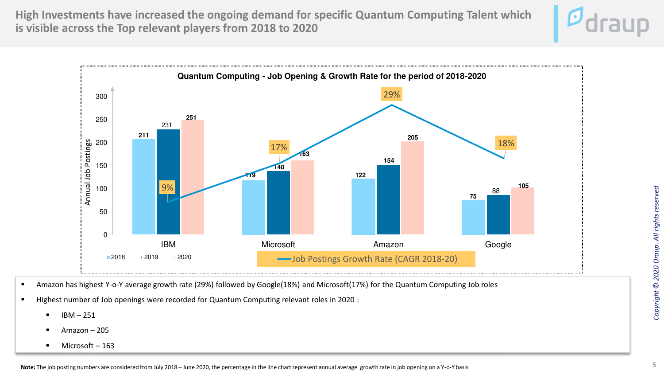**High Investments have increased the ongoing demand for specific Quantum Computing Talent which is visible across the Top relevant players from 2018 to 2020**





- Amazon has highest Y-o-Y average growth rate (29%) followed by Google(18%) and Microsoft(17%) for the Quantum Computing Job roles
- Highest number of Job openings were recorded for Quantum Computing relevant roles in 2020 :
	- $IBM 251$
	- Amazon  $-205$
	- Microsoft  $-163$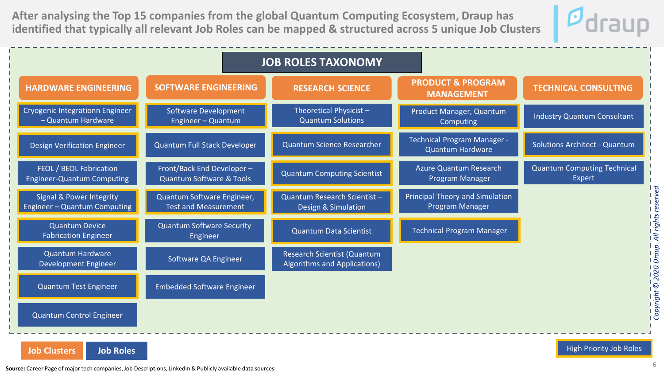**After analysing the Top 15 companies from the global Quantum Computing Ecosystem, Draup has identified that typically all relevant Job Roles can be mapped & structured across 5 unique Job Clusters**



| <b>HARDWARE ENGINEERING</b><br>Cryogenic Integrationn Engineer<br>- Quantum Hardware | <b>SOFTWARE ENGINEERING</b>                               | <b>RESEARCH SCIENCE</b>                                     | <b>PRODUCT &amp; PROGRAM</b>                                  |                                              |
|--------------------------------------------------------------------------------------|-----------------------------------------------------------|-------------------------------------------------------------|---------------------------------------------------------------|----------------------------------------------|
|                                                                                      |                                                           |                                                             | <b>MANAGEMENT</b>                                             | <b>TECHNICAL CONSULTING</b>                  |
|                                                                                      | Software Development<br>Engineer - Quantum                | Theoretical Physicist-<br><b>Quantum Solutions</b>          | Product Manager, Quantum<br>Computing                         | <b>Industry Quantum Consultant</b>           |
| <b>Design Verification Engineer</b>                                                  | Quantum Full Stack Developer                              | Quantum Science Researcher                                  | <b>Technical Program Manager -</b><br><b>Quantum Hardware</b> | Solutions Architect - Quantum                |
| FEOL / BEOL Fabrication<br><b>Engineer-Quantum Computing</b>                         | Front/Back End Developer-<br>Quantum Software & Tools     | <b>Quantum Computing Scientist</b>                          | Azure Quantum Research<br>Program Manager                     | <b>Quantum Computing Technical</b><br>Expert |
| Signal & Power Integrity<br>Engineer - Quantum Computing                             | Quantum Software Engineer,<br><b>Test and Measurement</b> | Quantum Research Scientist -<br>Design & Simulation         | <b>Principal Theory and Simulation</b><br>Program Manager     |                                              |
| <b>Quantum Device</b><br><b>Fabrication Engineer</b>                                 | <b>Quantum Software Security</b><br>Engineer              | <b>Quantum Data Scientist</b>                               | <b>Technical Program Manager</b>                              |                                              |
| <b>Quantum Hardware</b><br><b>Development Engineer</b>                               | Software QA Engineer                                      | Research Scientist (Quantum<br>Algorithms and Applications) |                                                               |                                              |
| Quantum Test Engineer                                                                | <b>Embedded Software Engineer</b>                         |                                                             |                                                               |                                              |
| <b>Quantum Control Engineer</b>                                                      |                                                           |                                                             |                                                               |                                              |

**Job Clusters Job Roles Job Roles John Roles John Roles John Roles John Roles High Priority Job Roles** 

**Source:** Career Page of major tech companies, Job Descriptions, LinkedIn & Publicly available data sources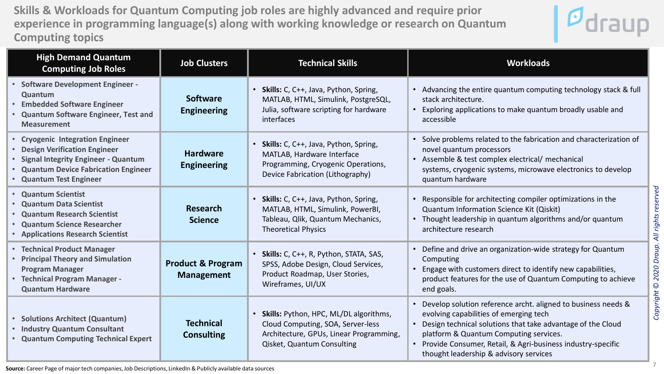**Skills & Workloads for Quantum Computing job roles are highly advanced and require prior experience in programming language(s) along with working knowledge or research on Quantum Computing topics**



| <b>High Demand Quantum</b><br><b>Computing Job Roles</b>                                                                                                                        | <b>Job Clusters</b>                               | <b>Technical Skills</b>                                                                                                                                           | <b>Workloads</b>                                                                                                                                                                                                                                                                                                                                          |
|---------------------------------------------------------------------------------------------------------------------------------------------------------------------------------|---------------------------------------------------|-------------------------------------------------------------------------------------------------------------------------------------------------------------------|-----------------------------------------------------------------------------------------------------------------------------------------------------------------------------------------------------------------------------------------------------------------------------------------------------------------------------------------------------------|
| • Software Development Engineer -<br>Quantum<br><b>• Embedded Software Engineer</b><br>• Quantum Software Engineer, Test and<br><b>Measurement</b>                              | <b>Software</b><br><b>Engineering</b>             | • Skills: C, C++, Java, Python, Spring,<br>MATLAB, HTML, Simulink, PostgreSQL,<br>Julia, software scripting for hardware<br>interfaces                            | • Advancing the entire quantum computing technology stack & full<br>stack architecture.<br>• Exploring applications to make quantum broadly usable and<br>accessible                                                                                                                                                                                      |
| • Cryogenic Integration Engineer<br>• Design Verification Engineer<br>· Signal Integrity Engineer - Quantum<br>• Quantum Device Fabrication Engineer<br>• Quantum Test Engineer | <b>Hardware</b><br><b>Engineering</b>             | <b>Skills:</b> C, C++, Java, Python, Spring,<br>$\bullet$<br>MATLAB, Hardware Interface<br>Programming, Cryogenic Operations,<br>Device Fabrication (Lithography) | • Solve problems related to the fabrication and characterization of<br>novel quantum processors<br>• Assemble & test complex electrical/ mechanical<br>systems, cryogenic systems, microwave electronics to develop<br>quantum hardware                                                                                                                   |
| • Quantum Scientist<br>• Quantum Data Scientist<br>• Quantum Research Scientist<br>• Quantum Science Researcher<br>• Applications Research Scientist                            | Research<br><b>Science</b>                        | <b>Skills:</b> C, C++, Java, Python, Spring,<br>MATLAB, HTML, Simulink, PowerBI,<br>Tableau, Qlik, Quantum Mechanics,<br><b>Theoretical Physics</b>               | reserved<br>• Responsible for architecting compiler optimizations in the<br>Quantum Information Science Kit (Qiskit)<br>rights<br>• Thought leadership in quantum algorithms and/or quantum<br>architecture research<br>$\overline{4}$                                                                                                                    |
| • Technical Product Manager<br>• Principal Theory and Simulation<br><b>Program Manager</b><br>• Technical Program Manager -<br><b>Quantum Hardware</b>                          | <b>Product &amp; Program</b><br><b>Management</b> | Skills: C, C++, R, Python, STATA, SAS,<br>SPSS, Adobe Design, Cloud Services,<br>Product Roadmap, User Stories,<br>Wireframes, UI/UX                              | • Define and drive an organization-wide strategy for Quantum<br><b>Drau</b><br>Computing<br>2020<br>• Engage with customers direct to identify new capabilities,<br>product features for the use of Quantum Computing to achieve<br>end goals.                                                                                                            |
| • Solutions Architect (Quantum)<br>• Industry Quantum Consultant<br>• Quantum Computing Technical Expert                                                                        | <b>Technical</b><br><b>Consulting</b>             | Skills: Python, HPC, ML/DL algorithms,<br>Cloud Computing, SOA, Server-less<br>Architecture, GPUs, Linear Programming,<br>Qisket, Quantum Consulting              | Copyright <sup>©</sup><br>• Develop solution reference archt. aligned to business needs &<br>evolving capabilities of emerging tech<br>• Design technical solutions that take advantage of the Cloud<br>platform & Quantum Computing services.<br>• Provide Consumer, Retail, & Agri-business industry-specific<br>thought leadership & advisory services |

**Source:** Career Page of major tech companies, Job Descriptions, LinkedIn & Publicly available data sources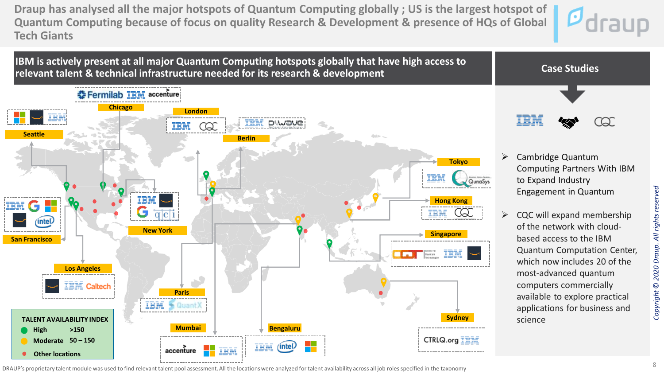**Draup has analysed all the major hotspots of Quantum Computing globally ; US is the largest hotspot of Quantum Computing because of focus on quality Research & Development & presence of HQs of Global Tech Giants** 





DRAUP's proprietary talent module was used to find relevant talent pool assessment. All the locations were analyzed for talent availability across all job roles specified in the taxonomy

*Copyright* © *2020 Draup. All rights reserved*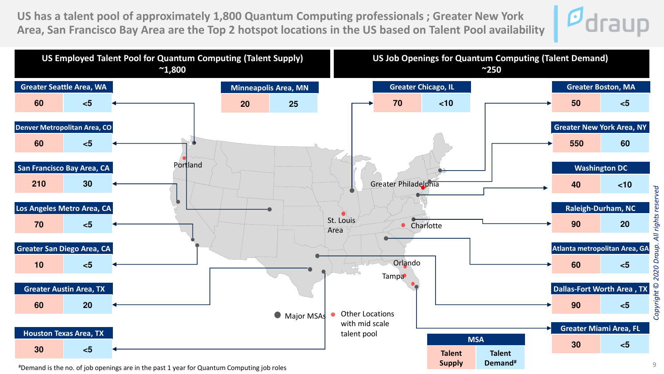**US has a talent pool of approximately 1,800 Quantum Computing professionals ; Greater New York Area, San Francisco Bay Area are the Top 2 hotspot locations in the US based on Talent Pool availability**





#Demand is the no. of job openings are in the past 1 year for Quantum Computing job roles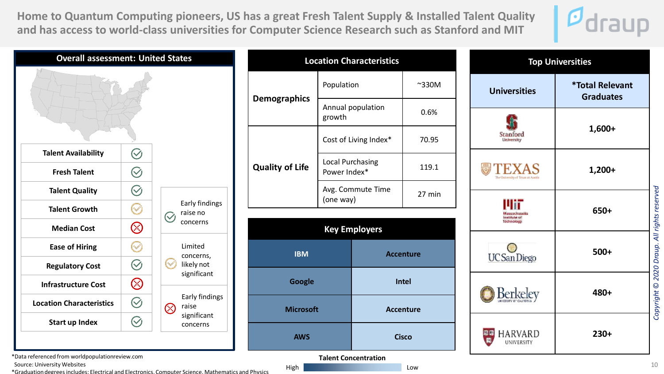**Home to Quantum Computing pioneers, US has a great Fresh Talent Supply & Installed Talent Quality and has access to world-class universities for Computer Science Research such as Stanford and MIT**





**Talent Concentration** High **Low** 

\*Data referenced from worldpopulationreview.com

Source: University Websites

\*Graduation degrees includes: Electrical and Electronics, Computer Science, Mathematics and Physics

10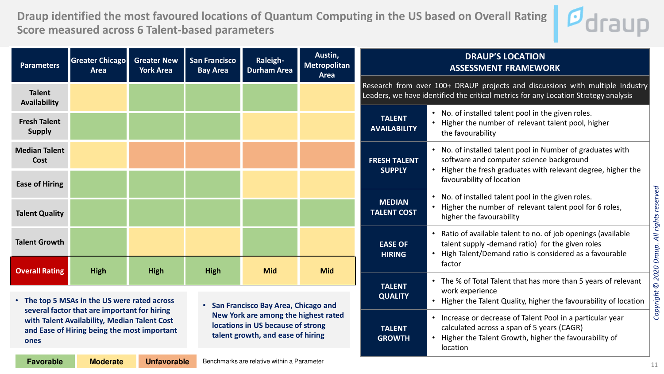**Draup identified the most favoured locations of Quantum Computing in the US based on Overall Rating Score measured across 6 Talent-based parameters** 



• Increase or decrease of Talent Pool in a particular year

• Higher the Talent Growth, higher the favourability of

calculated across a span of 5 years (CAGR)

location

| <b>Parameters</b>                    | <b>Greater Chicago</b><br><b>Area</b>        | <b>Greater New</b><br><b>York Area</b> | <b>San Francisco</b><br><b>Bay Area</b> | Raleigh-<br><b>Durham Area</b>      | Austin,<br>Metropolitan<br><b>Area</b> | <b>DRAUP'S LOCATION</b><br><b>ASSESSMENT FRAMEWORK</b>                                                                                                               |                                                                                                                                                                                                  |  |  |  |
|--------------------------------------|----------------------------------------------|----------------------------------------|-----------------------------------------|-------------------------------------|----------------------------------------|----------------------------------------------------------------------------------------------------------------------------------------------------------------------|--------------------------------------------------------------------------------------------------------------------------------------------------------------------------------------------------|--|--|--|
| <b>Talent</b><br><b>Availability</b> |                                              |                                        |                                         |                                     |                                        | Research from over 100+ DRAUP projects and discussions with multiple Industry<br>Leaders, we have identified the critical metrics for any Location Strategy analysis |                                                                                                                                                                                                  |  |  |  |
| <b>Fresh Talent</b><br><b>Supply</b> |                                              |                                        |                                         |                                     |                                        | <b>TALENT</b><br><b>AVAILABILITY</b>                                                                                                                                 | • No. of installed talent pool in the given roles.<br>Higher the number of relevant talent pool, higher<br>the favourability                                                                     |  |  |  |
| <b>Median Talent</b><br>Cost         |                                              |                                        |                                         |                                     |                                        | <b>FRESH TALENT</b><br><b>SUPPLY</b>                                                                                                                                 | No. of installed talent pool in Number of graduates with<br>software and computer science background<br>Higher the fresh graduates with relevant degree, higher the<br>favourability of location |  |  |  |
| <b>Ease of Hiring</b>                |                                              |                                        |                                         |                                     |                                        |                                                                                                                                                                      | No. of installed talent pool in the given roles.                                                                                                                                                 |  |  |  |
| <b>Talent Quality</b>                |                                              |                                        |                                         |                                     |                                        | <b>MEDIAN</b><br><b>TALENT COST</b>                                                                                                                                  | Higher the number of relevant talent pool for 6 roles,<br>higher the favourability                                                                                                               |  |  |  |
| <b>Talent Growth</b>                 |                                              |                                        |                                         |                                     |                                        | <b>EASE OF</b><br><b>HIRING</b>                                                                                                                                      | Ratio of available talent to no. of job openings (available<br>talent supply -demand ratio) for the given roles<br>High Talent/Demand ratio is considered as a favourable                        |  |  |  |
| <b>Overall Rating</b>                | <b>High</b>                                  | <b>High</b>                            | <b>High</b>                             | <b>Mid</b>                          | <b>Mid</b>                             |                                                                                                                                                                      | factor                                                                                                                                                                                           |  |  |  |
|                                      | • The top 5 MSAs in the US were rated across |                                        |                                         | Can Exangican Day Area, Chicago any |                                        | <b>TALENT</b><br><b>QUALITY</b>                                                                                                                                      | • The % of Total Talent that has more than 5 years of relevant<br>work experience<br>Higher the Talent Quality, higher the favourability of location                                             |  |  |  |

**TALENT GROWTH**

**several factor that are important for hiring with Talent Availability, Median Talent Cost and Ease of Hiring being the most important ones**

• **San Francisco Bay Area, Chicago and New York are among the highest rated locations in US because of strong talent growth, and ease of hiring**

| <b>Favorable</b> | <b>Moderate</b> | <b>Unfavorable</b> | Benchmarks are relative within a Parameter |
|------------------|-----------------|--------------------|--------------------------------------------|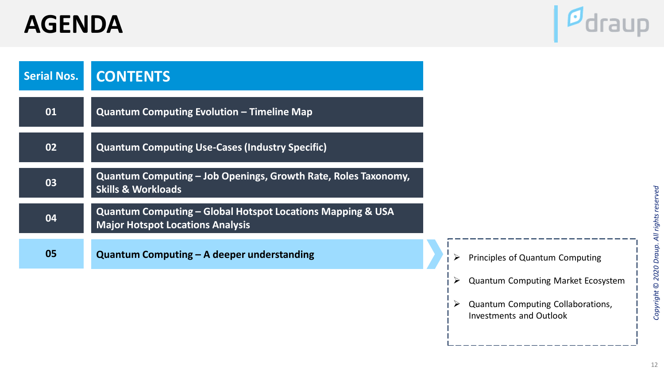# **AGENDA**



| <b>Serial Nos.</b> | <b>CONTENTS</b>                                                                                                  |  |                                 |
|--------------------|------------------------------------------------------------------------------------------------------------------|--|---------------------------------|
| 01                 | <b>Quantum Computing Evolution - Timeline Map</b>                                                                |  |                                 |
| 02                 | <b>Quantum Computing Use-Cases (Industry Specific)</b>                                                           |  |                                 |
| 03                 | Quantum Computing - Job Openings, Growth Rate, Roles Taxonomy,<br><b>Skills &amp; Workloads</b>                  |  |                                 |
| 04                 | <b>Quantum Computing - Global Hotspot Locations Mapping &amp; USA</b><br><b>Major Hotspot Locations Analysis</b> |  |                                 |
| 05                 | Quantum Computing - A deeper understanding                                                                       |  | Principles of Quantum Computing |

- ➢ Quantum Computing Market Ecosystem
- ➢ Quantum Computing Collaborations, Investments and Outlook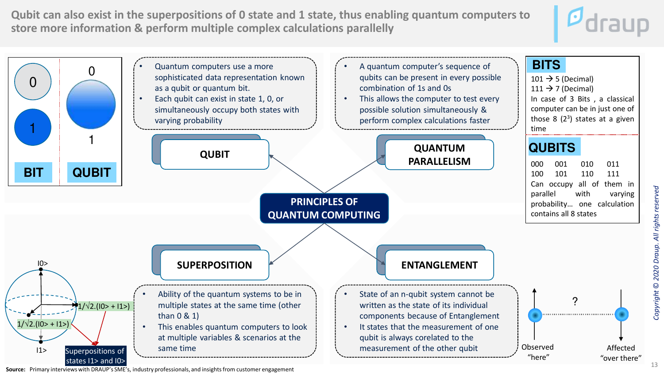**Qubit can also exist in the superpositions of 0 state and 1 state, thus enabling quantum computers to store more information & perform multiple complex calculations parallelly** 





**Source:** Primary interviews with DRAUP's SME's, industry professionals, and insights from customer engagement

*Copyright* © *2020 Draup. All rights reserved*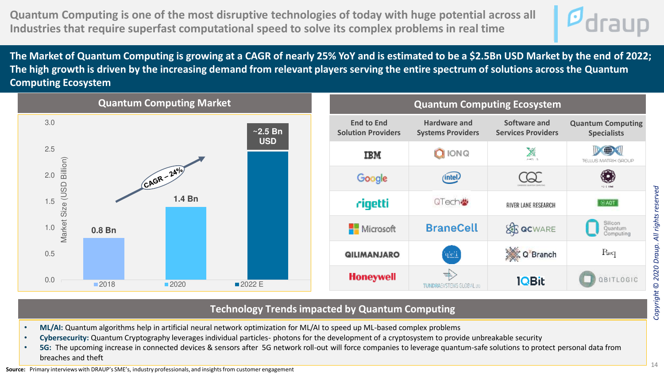**Quantum Computing is one of the most disruptive technologies of today with huge potential across all Industries that require superfast computational speed to solve its complex problems in real time** 



**The Market of Quantum Computing is growing at a CAGR of nearly 25% YoY and is estimated to be a \$2.5Bn USD Market by the end of 2022; The high growth is driven by the increasing demand from relevant players serving the entire spectrum of solutions across the Quantum Computing Ecosystem**



#### **Technology Trends impacted by Quantum Computing** computing systems and

- **ML/AI:** Quantum algorithms help in artificial neural network optimization for ML/AI to speed up ML-based complex problems
- **Cybersecurity:** Quantum Cryptography leverages individual particles- photons for the development of a cryptosystem to provide unbreakable security
- **5G:** The upcoming increase in connected devices & sensors after 5G network roll-out will force companies to leverage quantum-safe solutions to protect personal data from breaches and theft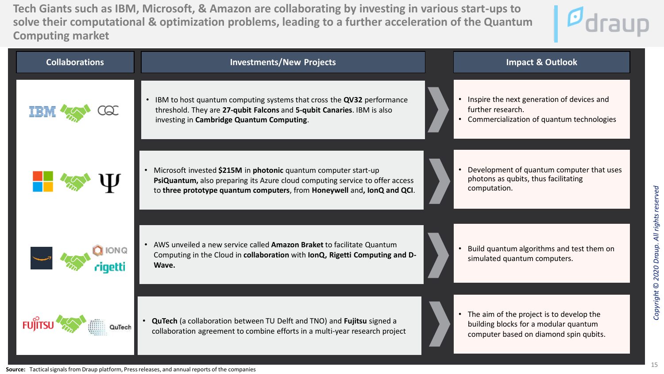**Tech Giants such as IBM, Microsoft, & Amazon are collaborating by investing in various start-ups to solve their computational & optimization problems, leading to a further acceleration of the Quantum Computing market**



| <b>Collaborations</b> | <b>Investments/New Projects</b>                                                                                                                                                                                            | <b>Impact &amp; Outlook</b>                                                                                                              |
|-----------------------|----------------------------------------------------------------------------------------------------------------------------------------------------------------------------------------------------------------------------|------------------------------------------------------------------------------------------------------------------------------------------|
|                       | IBM to host quantum computing systems that cross the QV32 performance<br>$\bullet$<br>threshold. They are 27-qubit Falcons and 5-qubit Canaries. IBM is also<br>investing in Cambridge Quantum Computing.                  | Inspire the next generation of devices and<br>$\bullet$<br>further research.<br>Commercialization of quantum technologies                |
|                       | Microsoft invested \$215M in photonic quantum computer start-up<br>PsiQuantum, also preparing its Azure cloud computing service to offer access<br>to three prototype quantum computers, from Honeywell and, IonQ and QCI. | Development of quantum computer that uses<br>photons as qubits, thus facilitating<br>computation.                                        |
| <b>IONQ</b>           | AWS unveiled a new service called Amazon Braket to facilitate Quantum<br>Computing in the Cloud in collaboration with IonQ, Rigetti Computing and D-<br>Wave.                                                              | Build quantum algorithms and test them on<br>simulated quantum computers.                                                                |
|                       | QuTech (a collaboration between TU Delft and TNO) and Fujitsu signed a<br>collaboration agreement to combine efforts in a multi-year research project                                                                      | The aim of the project is to develop the<br>$\bullet$<br>building blocks for a modular quantum<br>computer based on diamond spin qubits. |

15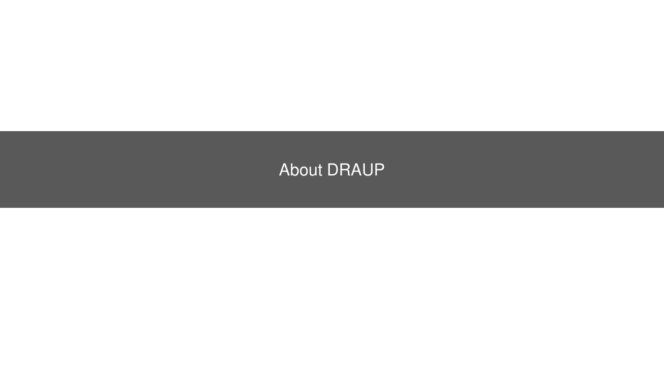### About DRAUP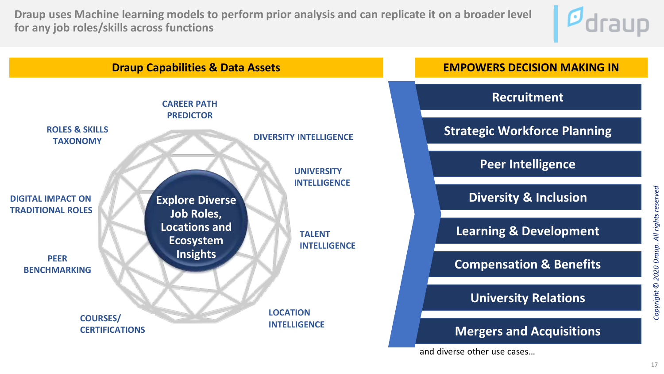**Draup uses Machine learning models to perform prior analysis and can replicate it on a broader level for any job roles/skills across functions**



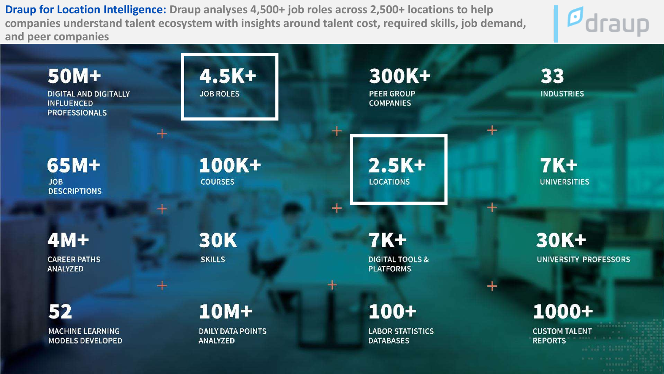**Draup for Location Intelligence: Draup analyses 4,500+ job roles across 2,500+ locations to help companies understand talent ecosystem with insights around talent cost, required skills, job demand, and peer companies**